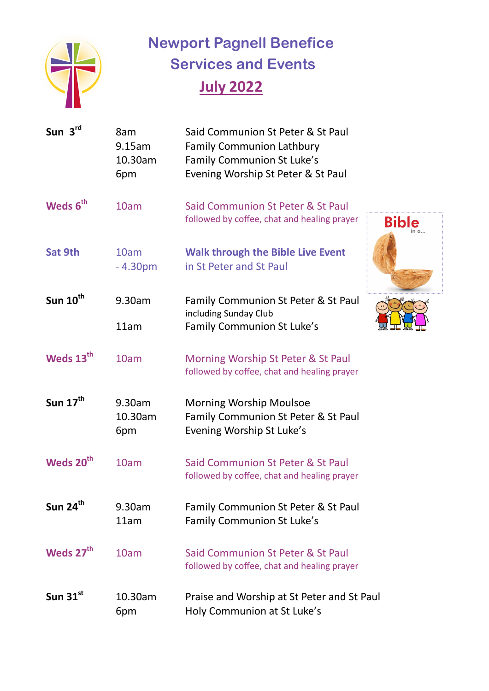

 **Newport Pagnell Benefice Services and Events July 2022** 

| Sun 3rd               | 8am<br>9.15am<br>10.30am<br>6pm | Said Communion St Peter & St Paul<br><b>Family Communion Lathbury</b><br>Family Communion St Luke's<br>Evening Worship St Peter & St Paul |
|-----------------------|---------------------------------|-------------------------------------------------------------------------------------------------------------------------------------------|
| Weds 6 <sup>th</sup>  | 10am                            | Said Communion St Peter & St Paul<br>followed by coffee, chat and healing prayer<br>Bible                                                 |
| Sat 9th               | 10am<br>$-4.30pm$               | <b>Walk through the Bible Live Event</b><br>in St Peter and St Paul                                                                       |
| Sun $10^{th}$         | 9.30am                          | Family Communion St Peter & St Paul                                                                                                       |
|                       | 11am                            | including Sunday Club<br>Family Communion St Luke's                                                                                       |
| Weds 13 <sup>th</sup> | 10am                            | Morning Worship St Peter & St Paul<br>followed by coffee, chat and healing prayer                                                         |
| Sun $17^{\text{th}}$  | 9.30am<br>10.30am<br>6pm        | <b>Morning Worship Moulsoe</b><br>Family Communion St Peter & St Paul<br>Evening Worship St Luke's                                        |
| Weds 20 <sup>th</sup> | 10am                            | Said Communion St Peter & St Paul<br>followed by coffee, chat and healing prayer                                                          |
| Sun 24 <sup>th</sup>  | 9.30am<br>11am                  | Family Communion St Peter & St Paul<br>Family Communion St Luke's                                                                         |
| Weds 27 <sup>th</sup> | 10am                            | Said Communion St Peter & St Paul<br>followed by coffee, chat and healing prayer                                                          |
| Sun $31^{st}$         | 10.30am<br>6pm                  | Praise and Worship at St Peter and St Paul<br>Holy Communion at St Luke's                                                                 |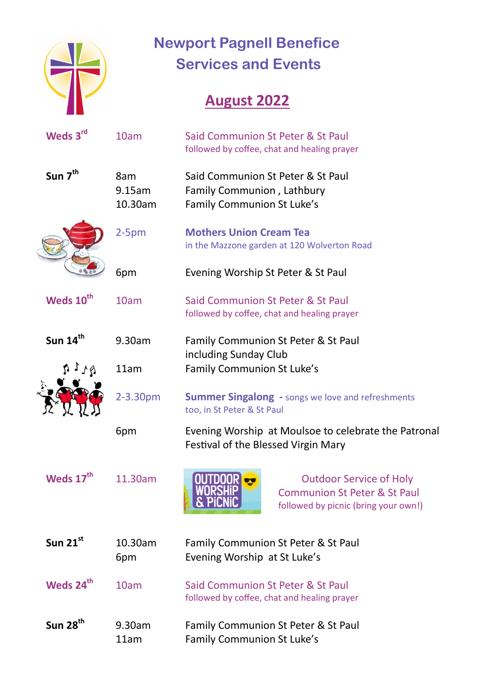

## **Newport Pagnell Benefice Services and Events**

## **August 2022**

| Weds 3rd              | 10am                     | Said Communion St Peter & St Paul<br>followed by coffee, chat and healing prayer                                                    |
|-----------------------|--------------------------|-------------------------------------------------------------------------------------------------------------------------------------|
| Sun 7 <sup>th</sup>   | 8am<br>9.15am<br>10.30am | Said Communion St Peter & St Paul<br>Family Communion, Lathbury<br>Family Communion St Luke's                                       |
|                       | $2-5pm$                  | <b>Mothers Union Cream Tea</b><br>in the Mazzone garden at 120 Wolverton Road                                                       |
|                       | 6pm                      | Evening Worship St Peter & St Paul                                                                                                  |
| Weds 10 <sup>th</sup> | 10am                     | Said Communion St Peter & St Paul<br>followed by coffee, chat and healing prayer                                                    |
| Sun 14 <sup>th</sup>  | 9.30am                   | Family Communion St Peter & St Paul                                                                                                 |
|                       | 11am                     | including Sunday Club<br>Family Communion St Luke's                                                                                 |
|                       | 2-3.30pm                 | <b>Summer Singalong - songs we love and refreshments</b><br>too, in St Peter & St Paul                                              |
|                       | 6pm                      | Evening Worship at Moulsoe to celebrate the Patronal<br>Festival of the Blessed Virgin Mary                                         |
| Weds 17 <sup>th</sup> | 11.30am                  | <b>OUTDOOR</b><br><b>Outdoor Service of Holy</b><br><b>Communion St Peter &amp; St Paul</b><br>followed by picnic (bring your own!) |
| Sun $21^{st}$         | 10.30am<br>6pm           | Family Communion St Peter & St Paul<br>Evening Worship at St Luke's                                                                 |
| Weds 24 <sup>th</sup> | 10am                     | Said Communion St Peter & St Paul<br>followed by coffee, chat and healing prayer                                                    |
| Sun $28th$            | 9.30am<br>11am           | Family Communion St Peter & St Paul<br>Family Communion St Luke's                                                                   |